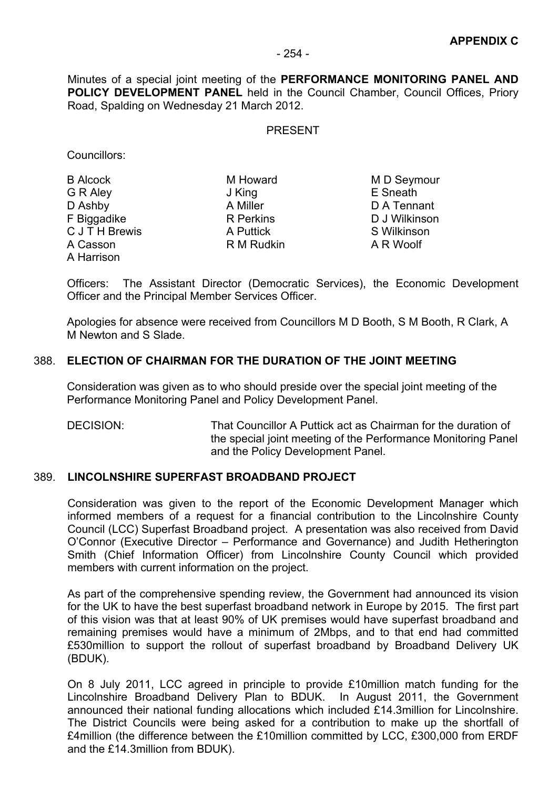Minutes of a special joint meeting of the **PERFORMANCE MONITORING PANEL AND POLICY DEVELOPMENT PANEL** held in the Council Chamber, Council Offices, Priory Road, Spalding on Wednesday 21 March 2012.

#### PRESENT

Councillors:

| <b>B Alcock</b> | M Howard   | M D Seyr         |
|-----------------|------------|------------------|
| G R Aley        | J King     | E Sneath         |
| D Ashby         | A Miller   | D A Tenr         |
| F Biggadike     | R Perkins  | D J Wilkir       |
| C J T H Brewis  | A Puttick  | <b>S</b> Wilkins |
| A Casson        | R M Rudkin | A R Woo          |
| A Harrison      |            |                  |
|                 |            |                  |

M Howard M D Seymour A Miller D A Tennant F Biggadike R Perkins D J Wilkinson A Puttick S Wilkinson

Officers: The Assistant Director (Democratic Services), the Economic Development Officer and the Principal Member Services Officer.

Apologies for absence were received from Councillors M D Booth, S M Booth, R Clark, A M Newton and S Slade.

## 388. **ELECTION OF CHAIRMAN FOR THE DURATION OF THE JOINT MEETING**

Consideration was given as to who should preside over the special joint meeting of the Performance Monitoring Panel and Policy Development Panel.

DECISION: That Councillor A Puttick act as Chairman for the duration of the special joint meeting of the Performance Monitoring Panel and the Policy Development Panel.

## 389. **LINCOLNSHIRE SUPERFAST BROADBAND PROJECT**

Consideration was given to the report of the Economic Development Manager which informed members of a request for a financial contribution to the Lincolnshire County Council (LCC) Superfast Broadband project. A presentation was also received from David O'Connor (Executive Director – Performance and Governance) and Judith Hetherington Smith (Chief Information Officer) from Lincolnshire County Council which provided members with current information on the project.

As part of the comprehensive spending review, the Government had announced its vision for the UK to have the best superfast broadband network in Europe by 2015. The first part of this vision was that at least 90% of UK premises would have superfast broadband and remaining premises would have a minimum of 2Mbps, and to that end had committed £530million to support the rollout of superfast broadband by Broadband Delivery UK (BDUK).

On 8 July 2011, LCC agreed in principle to provide £10million match funding for the Lincolnshire Broadband Delivery Plan to BDUK. In August 2011, the Government announced their national funding allocations which included £14.3million for Lincolnshire. The District Councils were being asked for a contribution to make up the shortfall of £4million (the difference between the £10million committed by LCC, £300,000 from ERDF and the £14.3million from BDUK).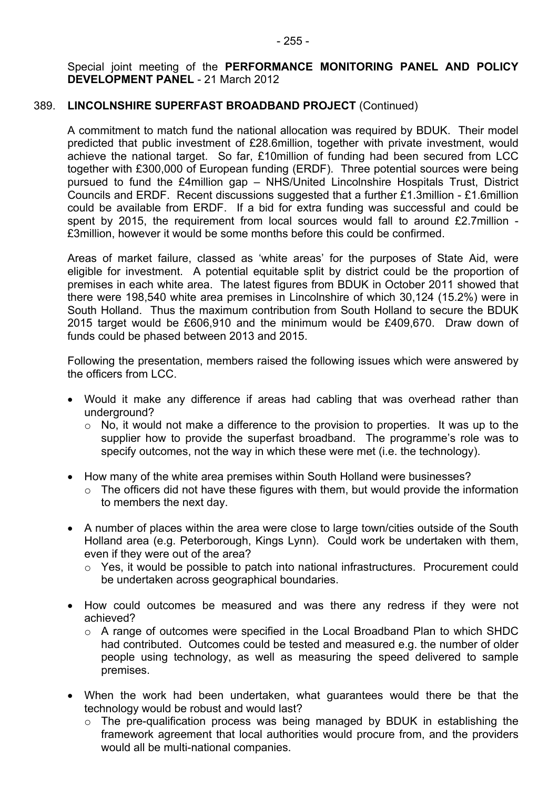#### Special joint meeting of the **PERFORMANCE MONITORING PANEL AND POLICY DEVELOPMENT PANEL** - 21 March 2012

## 389. **LINCOLNSHIRE SUPERFAST BROADBAND PROJECT** (Continued)

A commitment to match fund the national allocation was required by BDUK. Their model predicted that public investment of £28.6million, together with private investment, would achieve the national target. So far, £10million of funding had been secured from LCC together with £300,000 of European funding (ERDF). Three potential sources were being pursued to fund the £4million gap – NHS/United Lincolnshire Hospitals Trust, District Councils and ERDF. Recent discussions suggested that a further £1.3million - £1.6million could be available from ERDF. If a bid for extra funding was successful and could be spent by 2015, the requirement from local sources would fall to around £2.7million -£3million, however it would be some months before this could be confirmed.

Areas of market failure, classed as 'white areas' for the purposes of State Aid, were eligible for investment. A potential equitable split by district could be the proportion of premises in each white area. The latest figures from BDUK in October 2011 showed that there were 198,540 white area premises in Lincolnshire of which 30,124 (15.2%) were in South Holland. Thus the maximum contribution from South Holland to secure the BDUK 2015 target would be £606,910 and the minimum would be £409,670. Draw down of funds could be phased between 2013 and 2015.

Following the presentation, members raised the following issues which were answered by the officers from LCC.

- Would it make any difference if areas had cabling that was overhead rather than underground?
	- $\circ$  No, it would not make a difference to the provision to properties. It was up to the supplier how to provide the superfast broadband. The programme's role was to specify outcomes, not the way in which these were met (i.e. the technology).
- How many of the white area premises within South Holland were businesses?
	- $\circ$  The officers did not have these figures with them, but would provide the information to members the next day.
- A number of places within the area were close to large town/cities outside of the South Holland area (e.g. Peterborough, Kings Lynn). Could work be undertaken with them, even if they were out of the area?
	- o Yes, it would be possible to patch into national infrastructures. Procurement could be undertaken across geographical boundaries.
- How could outcomes be measured and was there any redress if they were not achieved?
	- $\circ$  A range of outcomes were specified in the Local Broadband Plan to which SHDC had contributed. Outcomes could be tested and measured e.g. the number of older people using technology, as well as measuring the speed delivered to sample premises.
- When the work had been undertaken, what guarantees would there be that the technology would be robust and would last?
	- o The pre-qualification process was being managed by BDUK in establishing the framework agreement that local authorities would procure from, and the providers would all be multi-national companies.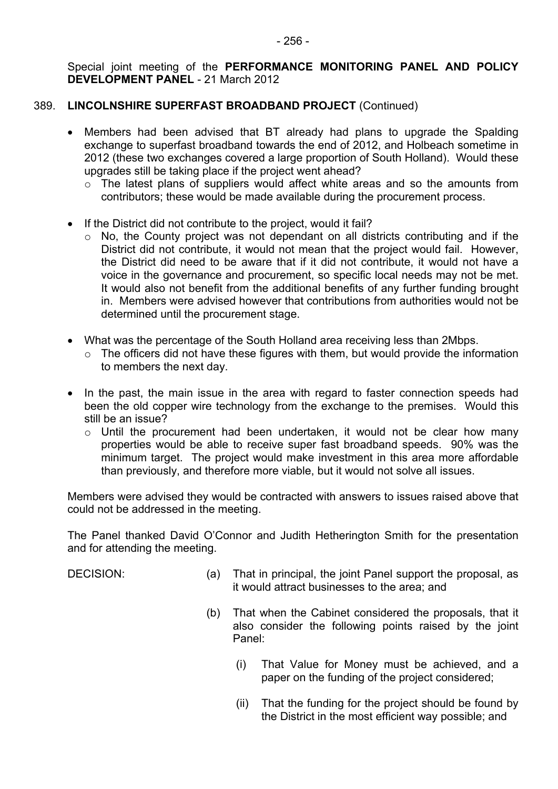## 389. **LINCOLNSHIRE SUPERFAST BROADBAND PROJECT** (Continued)

- Members had been advised that BT already had plans to upgrade the Spalding exchange to superfast broadband towards the end of 2012, and Holbeach sometime in 2012 (these two exchanges covered a large proportion of South Holland). Would these upgrades still be taking place if the project went ahead?
	- o The latest plans of suppliers would affect white areas and so the amounts from contributors; these would be made available during the procurement process.
- If the District did not contribute to the project, would it fail?
	- o No, the County project was not dependant on all districts contributing and if the District did not contribute, it would not mean that the project would fail. However, the District did need to be aware that if it did not contribute, it would not have a voice in the governance and procurement, so specific local needs may not be met. It would also not benefit from the additional benefits of any further funding brought in. Members were advised however that contributions from authorities would not be determined until the procurement stage.
- What was the percentage of the South Holland area receiving less than 2Mbps.
	- o The officers did not have these figures with them, but would provide the information to members the next day.
- In the past, the main issue in the area with regard to faster connection speeds had been the old copper wire technology from the exchange to the premises. Would this still be an issue?
	- o Until the procurement had been undertaken, it would not be clear how many properties would be able to receive super fast broadband speeds. 90% was the minimum target. The project would make investment in this area more affordable than previously, and therefore more viable, but it would not solve all issues.

Members were advised they would be contracted with answers to issues raised above that could not be addressed in the meeting.

The Panel thanked David O'Connor and Judith Hetherington Smith for the presentation and for attending the meeting.

- DECISION: (a) That in principal, the joint Panel support the proposal, as it would attract businesses to the area; and
	- (b) That when the Cabinet considered the proposals, that it also consider the following points raised by the joint Panel:
		- (i) That Value for Money must be achieved, and a paper on the funding of the project considered;
		- (ii) That the funding for the project should be found by the District in the most efficient way possible; and